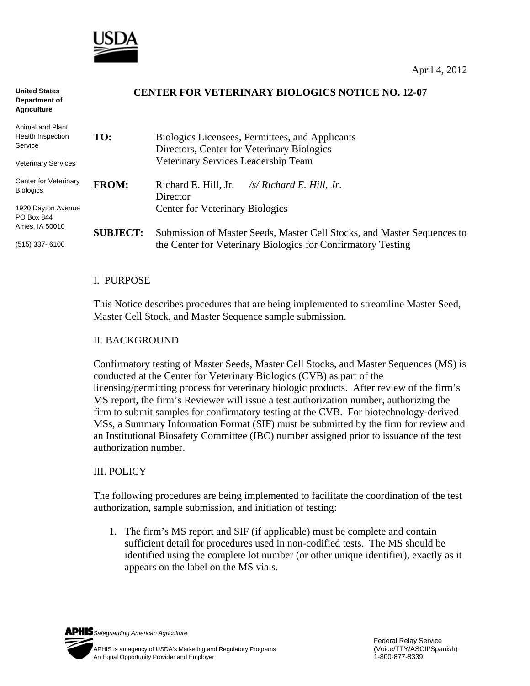

| <b>United States</b><br>Department of<br><b>Agriculture</b> |                 | <b>CENTER FOR VETERINARY BIOLOGICS NOTICE NO. 12-07</b>                                       |
|-------------------------------------------------------------|-----------------|-----------------------------------------------------------------------------------------------|
| Animal and Plant                                            |                 |                                                                                               |
| Health Inspection<br>Service                                | TO:             | Biologics Licensees, Permittees, and Applicants<br>Directors, Center for Veterinary Biologics |
| <b>Veterinary Services</b>                                  |                 | Veterinary Services Leadership Team                                                           |
| Center for Veterinary<br><b>Biologics</b>                   | <b>FROM:</b>    | Richard E. Hill, Jr.<br>/s/ Richard E. Hill, Jr.<br>Director                                  |
| 1920 Dayton Avenue<br>PO Box 844                            |                 | <b>Center for Veterinary Biologics</b>                                                        |
| Ames, IA 50010                                              | <b>SUBJECT:</b> | Submission of Master Seeds, Master Cell Stocks, and Master Sequences to                       |
| $(515)$ 337-6100                                            |                 | the Center for Veterinary Biologics for Confirmatory Testing                                  |

### I. PURPOSE

This Notice describes procedures that are being implemented to streamline Master Seed, Master Cell Stock, and Master Sequence sample submission.

#### II. BACKGROUND

Confirmatory testing of Master Seeds, Master Cell Stocks, and Master Sequences (MS) is conducted at the Center for Veterinary Biologics (CVB) as part of the licensing/permitting process for veterinary biologic products. After review of the firm's MS report, the firm's Reviewer will issue a test authorization number, authorizing the firm to submit samples for confirmatory testing at the CVB. For biotechnology-derived MSs, a Summary Information Format (SIF) must be submitted by the firm for review and an Institutional Biosafety Committee (IBC) number assigned prior to issuance of the test authorization number.

### III. POLICY

The following procedures are being implemented to facilitate the coordination of the test authorization, sample submission, and initiation of testing:

1. The firm's MS report and SIF (if applicable) must be complete and contain sufficient detail for procedures used in non-codified tests. The MS should be identified using the complete lot number (or other unique identifier), exactly as it appears on the label on the MS vials.

*Safeguarding American Agriculture*  APHIS is an agency of USDA's Marketing and Regulatory Programs(Voice/TTY/ASCII/Spanish) An Equal Opportunity Provider and Employer